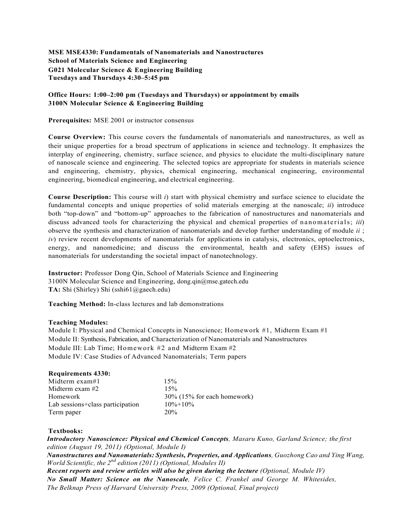### **MSE MSE4330: Fundamentals of Nanomaterials and Nanostructures School of Materials Science and Engineering G021 Molecular Science & Engineering Building Tuesdays and Thursdays 4:30–5:45 pm**

### **Office Hours: 1:00–2:00 pm (Tuesdays and Thursdays) or appointment by emails 3100N Molecular Science & Engineering Building**

**Prerequisites:** MSE 2001 or instructor consensus

**Course Overview:** This course covers the fundamentals of nanomaterials and nanostructures, as well as their unique properties for a broad spectrum of applications in science and technology. It emphasizes the interplay of engineering, chemistry, surface science, and physics to elucidate the multi-disciplinary nature of nanoscale science and engineering. The selected topics are appropriate for students in materials science and engineering, chemistry, physics, chemical engineering, mechanical engineering, environmental engineering, biomedical engineering, and electrical engineering.

**Course Description:** This course will *i*) start with physical chemistry and surface science to elucidate the fundamental concepts and unique properties of solid materials emerging at the nanoscale; *ii*) introduce both "top-down" and "bottom-up" approaches to the fabrication of nanostructures and nanomaterials and discuss advanced tools for characterizing the physical and chemical properties of nanomaterials; *iii*) observe the synthesis and characterization of nanomaterials and develop further understanding of module *ii* ; *iv*) review recent developments of nanomaterials for applications in catalysis, electronics, optoelectronics, energy, and nanomedicine; and discuss the environmental, health and safety (EHS) issues of nanomaterials for understanding the societal impact of nanotechnology.

**Instructor:** Professor Dong Qin, School of Materials Science and Engineering 3100N Molecular Science and Engineering, dong.qin@mse.gatech.edu **TA:** Shi (Shirley) Shi (sshi61@gaech.edu)

**Teaching Method:** In-class lectures and lab demonstrations

#### **Teaching Modules:**

Module I: Physical and Chemical Concepts in Nanoscience; Homework #1, Midterm Exam #1 Module II: Synthesis, Fabrication, and Characterization of Nanomaterials and Nanostructures Module III: Lab Time; Homework #2 and Midterm Exam #2 Module IV: Case Studies of Advanced Nanomaterials; Term papers

### **Requirements 4330:**

| Midterm exam#1                   | 15%                            |
|----------------------------------|--------------------------------|
| Midterm exam #2                  | 15%                            |
| Homework                         | $30\%$ (15% for each homework) |
| Lab sessions+class participation | $10\% + 10\%$                  |
| Term paper                       | 20%                            |

### **Textbooks:**

*Introductory Nanoscience: Physical and Chemical Concepts, Masaru Kuno, Garland Science; the first edition (August 19, 2011) (Optional, Module I)*

*Nanostructures and Nanomaterials: Synthesis, Properties, and Applications, Guozhong Cao and Ying Wang, World Scientific, the 2nd edition (2011) (Optional, Modules II)*

*Recent reports and review articles will also be given during the lecture (Optional, Module IV) No Small Matter: Science on the Nanoscale, Felice C. Frankel and George M. Whitesides, The Belknap Press of Harvard University Press, 2009 (Optional, Final project)*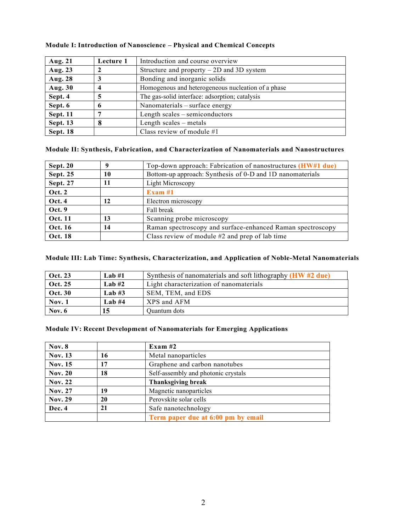| Aug. 21         | Lecture 1 | Introduction and course overview                   |
|-----------------|-----------|----------------------------------------------------|
| Aug. 23         |           | Structure and property $-2D$ and 3D system         |
| Aug. 28         |           | Bonding and inorganic solids                       |
| Aug. 30         |           | Homogenous and heterogeneous nucleation of a phase |
| Sept. 4         |           | The gas-solid interface: adsorption; catalysis     |
| Sept. 6         |           | Nanomaterials – surface energy                     |
| <b>Sept. 11</b> |           | Length scales – semiconductors                     |
| <b>Sept. 13</b> |           | Length scales – metals                             |
| Sept. 18        |           | Class review of module #1                          |

### **Module I: Introduction of Nanoscience – Physical and Chemical Concepts**

## **Module II: Synthesis, Fabrication, and Characterization of Nanomaterials and Nanostructures**

| <b>Sept. 20</b> |    | Top-down approach: Fabrication of nanostructures (HW#1 due) |
|-----------------|----|-------------------------------------------------------------|
| <b>Sept. 25</b> | 10 | Bottom-up approach: Synthesis of 0-D and 1D nanomaterials   |
| Sept. 27        |    | Light Microscopy                                            |
| <b>Oct. 2</b>   |    | Exam $#1$                                                   |
| <b>Oct. 4</b>   | 12 | Electron microscopy                                         |
| Oct. 9          |    | Fall break                                                  |
| <b>Oct. 11</b>  | 13 | Scanning probe microscopy                                   |
| Oct. 16         | 14 | Raman spectroscopy and surface-enhanced Raman spectroscopy  |
| <b>Oct. 18</b>  |    | Class review of module $#2$ and prep of lab time            |

# **Module III: Lab Time: Synthesis, Characterization, and Application of Noble-Metal Nanomaterials**

| <b>Oct. 23</b> | Lab $#1$ | Synthesis of nanomaterials and soft lithography $(HW \#2 \text{ due})$ |
|----------------|----------|------------------------------------------------------------------------|
| Oct. 25        | Lab $#2$ | Light characterization of nanomaterials                                |
| <b>Oct. 30</b> | Lab $#3$ | SEM, TEM, and EDS                                                      |
| Nov. 1         | Lab $#4$ | XPS and AFM                                                            |
| Nov. $6$       |          | Quantum dots                                                           |

### **Module IV: Recent Development of Nanomaterials for Emerging Applications**

| Nov. 8         |    | Exam $#2$                           |
|----------------|----|-------------------------------------|
| <b>Nov. 13</b> | 16 | Metal nanoparticles                 |
| <b>Nov. 15</b> | 17 | Graphene and carbon nanotubes       |
| <b>Nov. 20</b> | 18 | Self-assembly and photonic crystals |
| <b>Nov. 22</b> |    | <b>Thanksgiving break</b>           |
| <b>Nov. 27</b> | 19 | Magnetic nanoparticles              |
| <b>Nov. 29</b> | 20 | Perovskite solar cells              |
| Dec. 4         | 21 | Safe nanotechnology                 |
|                |    | Term paper due at 6:00 pm by email  |